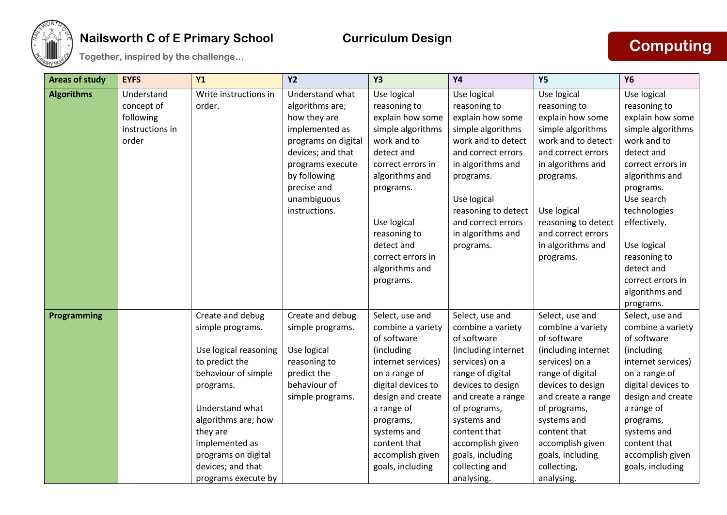

## **Nailsworth C of E Primary School Curriculum Design Together, inspired by the challenge… Computing**

| <b>Areas of study</b> | <b>EYFS</b>     | Y1                    | <b>Y2</b>           | <b>Y3</b>          | <b>Y4</b>           | <b>Y5</b>           | <b>Y6</b>          |
|-----------------------|-----------------|-----------------------|---------------------|--------------------|---------------------|---------------------|--------------------|
| <b>Algorithms</b>     | Understand      | Write instructions in | Understand what     | Use logical        | Use logical         | Use logical         | Use logical        |
|                       | concept of      | order.                | algorithms are;     | reasoning to       | reasoning to        | reasoning to        | reasoning to       |
|                       | following       |                       | how they are        | explain how some   | explain how some    | explain how some    | explain how some   |
|                       | instructions in |                       | implemented as      | simple algorithms  | simple algorithms   | simple algorithms   | simple algorithms  |
|                       | order           |                       | programs on digital | work and to        | work and to detect  | work and to detect  | work and to        |
|                       |                 |                       | devices; and that   | detect and         | and correct errors  | and correct errors  | detect and         |
|                       |                 |                       | programs execute    | correct errors in  | in algorithms and   | in algorithms and   | correct errors in  |
|                       |                 |                       | by following        | algorithms and     | programs.           | programs.           | algorithms and     |
|                       |                 |                       | precise and         | programs.          |                     |                     | programs.          |
|                       |                 |                       | unambiguous         |                    | Use logical         |                     | Use search         |
|                       |                 |                       | instructions.       |                    | reasoning to detect | Use logical         | technologies       |
|                       |                 |                       |                     | Use logical        | and correct errors  | reasoning to detect | effectively.       |
|                       |                 |                       |                     | reasoning to       | in algorithms and   | and correct errors  |                    |
|                       |                 |                       |                     | detect and         | programs.           | in algorithms and   | Use logical        |
|                       |                 |                       |                     | correct errors in  |                     | programs.           | reasoning to       |
|                       |                 |                       |                     | algorithms and     |                     |                     | detect and         |
|                       |                 |                       |                     | programs.          |                     |                     | correct errors in  |
|                       |                 |                       |                     |                    |                     |                     | algorithms and     |
|                       |                 |                       |                     |                    |                     |                     | programs.          |
| <b>Programming</b>    |                 | Create and debug      | Create and debug    | Select, use and    | Select, use and     | Select, use and     | Select, use and    |
|                       |                 | simple programs.      | simple programs.    | combine a variety  | combine a variety   | combine a variety   | combine a variety  |
|                       |                 |                       |                     | of software        | of software         | of software         | of software        |
|                       |                 | Use logical reasoning | Use logical         | (including         | (including internet | (including internet | (including         |
|                       |                 | to predict the        | reasoning to        | internet services) | services) on a      | services) on a      | internet services) |
|                       |                 | behaviour of simple   | predict the         | on a range of      | range of digital    | range of digital    | on a range of      |
|                       |                 | programs.             | behaviour of        | digital devices to | devices to design   | devices to design   | digital devices to |
|                       |                 |                       | simple programs.    | design and create  | and create a range  | and create a range  | design and create  |
|                       |                 | Understand what       |                     | a range of         | of programs,        | of programs,        | a range of         |
|                       |                 | algorithms are; how   |                     | programs,          | systems and         | systems and         | programs,          |
|                       |                 | they are              |                     | systems and        | content that        | content that        | systems and        |
|                       |                 | implemented as        |                     | content that       | accomplish given    | accomplish given    | content that       |
|                       |                 | programs on digital   |                     | accomplish given   | goals, including    | goals, including    | accomplish given   |
|                       |                 | devices; and that     |                     | goals, including   | collecting and      | collecting,         | goals, including   |
|                       |                 | programs execute by   |                     |                    | analysing.          | analysing.          |                    |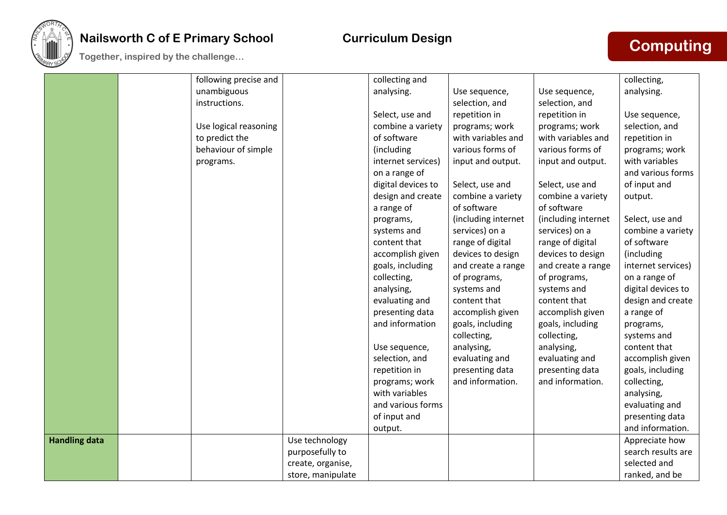

# **Nailsworth C of E Primary School Curriculum Design The Computing of the Primary School Curriculum Design<br>
<b>Together, inspired by the challenge…**

|                      | following precise and |                   | collecting and     |                     |                     | collecting,        |
|----------------------|-----------------------|-------------------|--------------------|---------------------|---------------------|--------------------|
|                      | unambiguous           |                   | analysing.         | Use sequence,       | Use sequence,       | analysing.         |
|                      | instructions.         |                   |                    | selection, and      | selection, and      |                    |
|                      |                       |                   | Select, use and    | repetition in       | repetition in       | Use sequence,      |
|                      | Use logical reasoning |                   | combine a variety  | programs; work      | programs; work      | selection, and     |
|                      | to predict the        |                   | of software        | with variables and  | with variables and  | repetition in      |
|                      | behaviour of simple   |                   | (including         | various forms of    | various forms of    | programs; work     |
|                      | programs.             |                   | internet services) | input and output.   | input and output.   | with variables     |
|                      |                       |                   | on a range of      |                     |                     | and various forms  |
|                      |                       |                   | digital devices to | Select, use and     | Select, use and     | of input and       |
|                      |                       |                   | design and create  | combine a variety   | combine a variety   | output.            |
|                      |                       |                   | a range of         | of software         | of software         |                    |
|                      |                       |                   | programs,          | (including internet | (including internet | Select, use and    |
|                      |                       |                   | systems and        | services) on a      | services) on a      | combine a variety  |
|                      |                       |                   | content that       | range of digital    | range of digital    | of software        |
|                      |                       |                   | accomplish given   | devices to design   | devices to design   | (including         |
|                      |                       |                   | goals, including   | and create a range  | and create a range  | internet services) |
|                      |                       |                   | collecting,        | of programs,        | of programs,        | on a range of      |
|                      |                       |                   | analysing,         | systems and         | systems and         | digital devices to |
|                      |                       |                   | evaluating and     | content that        | content that        | design and create  |
|                      |                       |                   | presenting data    | accomplish given    | accomplish given    | a range of         |
|                      |                       |                   | and information    | goals, including    | goals, including    | programs,          |
|                      |                       |                   |                    | collecting,         | collecting,         | systems and        |
|                      |                       |                   | Use sequence,      | analysing,          | analysing,          | content that       |
|                      |                       |                   | selection, and     | evaluating and      | evaluating and      | accomplish given   |
|                      |                       |                   | repetition in      | presenting data     | presenting data     | goals, including   |
|                      |                       |                   | programs; work     | and information.    | and information.    | collecting,        |
|                      |                       |                   | with variables     |                     |                     | analysing,         |
|                      |                       |                   | and various forms  |                     |                     | evaluating and     |
|                      |                       |                   | of input and       |                     |                     | presenting data    |
|                      |                       |                   | output.            |                     |                     | and information.   |
| <b>Handling data</b> |                       | Use technology    |                    |                     |                     | Appreciate how     |
|                      |                       | purposefully to   |                    |                     |                     | search results are |
|                      |                       | create, organise, |                    |                     |                     | selected and       |
|                      |                       | store, manipulate |                    |                     |                     | ranked, and be     |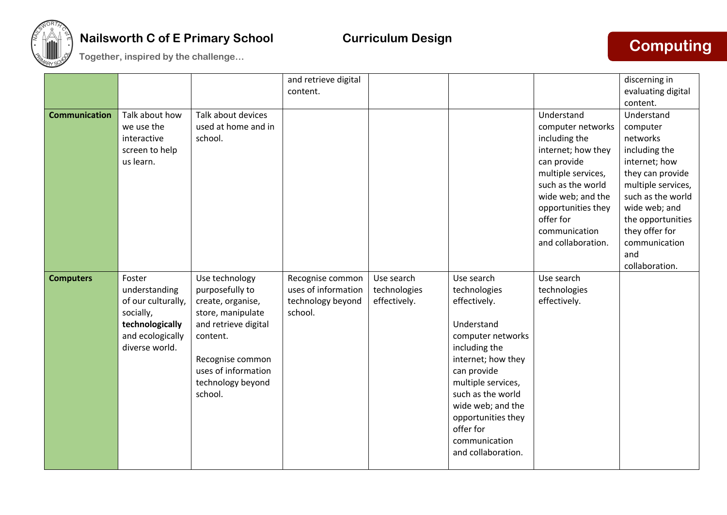

## **Nailsworth C of E Primary School Curriculum Design Together, inspired by the challenge… Computing**

| <b>Communication</b> | Talk about how<br>we use the<br>interactive<br>screen to help<br>us learn.                                          | Talk about devices<br>used at home and in<br>school.                                                                                                                                       | and retrieve digital<br>content.                                        |                                            |                                                                                                                                                                                                                                                                               | Understand<br>computer networks<br>including the<br>internet; how they<br>can provide<br>multiple services,<br>such as the world<br>wide web; and the | discerning in<br>evaluating digital<br>content.<br>Understand<br>computer<br>networks<br>including the<br>internet; how<br>they can provide<br>multiple services,<br>such as the world |
|----------------------|---------------------------------------------------------------------------------------------------------------------|--------------------------------------------------------------------------------------------------------------------------------------------------------------------------------------------|-------------------------------------------------------------------------|--------------------------------------------|-------------------------------------------------------------------------------------------------------------------------------------------------------------------------------------------------------------------------------------------------------------------------------|-------------------------------------------------------------------------------------------------------------------------------------------------------|----------------------------------------------------------------------------------------------------------------------------------------------------------------------------------------|
|                      |                                                                                                                     |                                                                                                                                                                                            |                                                                         |                                            |                                                                                                                                                                                                                                                                               | opportunities they<br>offer for<br>communication<br>and collaboration.                                                                                | wide web; and<br>the opportunities<br>they offer for<br>communication<br>and<br>collaboration.                                                                                         |
| <b>Computers</b>     | Foster<br>understanding<br>of our culturally,<br>socially,<br>technologically<br>and ecologically<br>diverse world. | Use technology<br>purposefully to<br>create, organise,<br>store, manipulate<br>and retrieve digital<br>content.<br>Recognise common<br>uses of information<br>technology beyond<br>school. | Recognise common<br>uses of information<br>technology beyond<br>school. | Use search<br>technologies<br>effectively. | Use search<br>technologies<br>effectively.<br>Understand<br>computer networks<br>including the<br>internet; how they<br>can provide<br>multiple services,<br>such as the world<br>wide web; and the<br>opportunities they<br>offer for<br>communication<br>and collaboration. | Use search<br>technologies<br>effectively.                                                                                                            |                                                                                                                                                                                        |